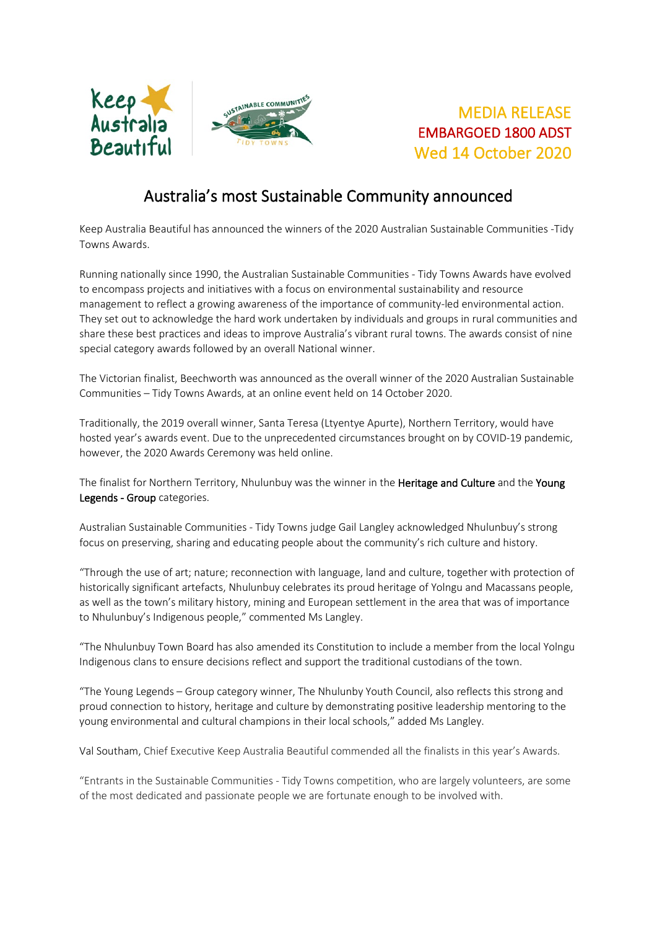

## MEDIA RELEASE EMBARGOED 1800 ADST Wed 14 October 2020

# Australia's most Sustainable Community announced

Keep Australia Beautiful has announced the winners of the 2020 Australian Sustainable Communities -Tidy Towns Awards.

Running nationally since 1990, the Australian Sustainable Communities - Tidy Towns Awards have evolved to encompass projects and initiatives with a focus on environmental sustainability and resource management to reflect a growing awareness of the importance of community-led environmental action. They set out to acknowledge the hard work undertaken by individuals and groups in rural communities and share these best practices and ideas to improve Australia's vibrant rural towns. The awards consist of nine special category awards followed by an overall National winner.

The Victorian finalist, Beechworth was announced as the overall winner of the 2020 Australian Sustainable Communities – Tidy Towns Awards, at an online event held on 14 October 2020.

Traditionally, the 2019 overall winner, Santa Teresa (Ltyentye Apurte), Northern Territory, would have hosted year's awards event. Due to the unprecedented circumstances brought on by COVID-19 pandemic, however, the 2020 Awards Ceremony was held online.

The finalist for Northern Territory, Nhulunbuy was the winner in the Heritage and Culture and the Young Legends - Group categories.

Australian Sustainable Communities - Tidy Towns judge Gail Langley acknowledged Nhulunbuy's strong focus on preserving, sharing and educating people about the community's rich culture and history.

"Through the use of art; nature; reconnection with language, land and culture, together with protection of historically significant artefacts, Nhulunbuy celebrates its proud heritage of Yolngu and Macassans people, as well as the town's military history, mining and European settlement in the area that was of importance to Nhulunbuy's Indigenous people," commented Ms Langley.

"The Nhulunbuy Town Board has also amended its Constitution to include a member from the local Yolngu Indigenous clans to ensure decisions reflect and support the traditional custodians of the town.

"The Young Legends – Group category winner, The Nhulunby Youth Council, also reflects this strong and proud connection to history, heritage and culture by demonstrating positive leadership mentoring to the young environmental and cultural champions in their local schools," added Ms Langley.

Val Southam, Chief Executive Keep Australia Beautiful commended all the finalists in this year's Awards.

"Entrants in the Sustainable Communities - Tidy Towns competition, who are largely volunteers, are some of the most dedicated and passionate people we are fortunate enough to be involved with.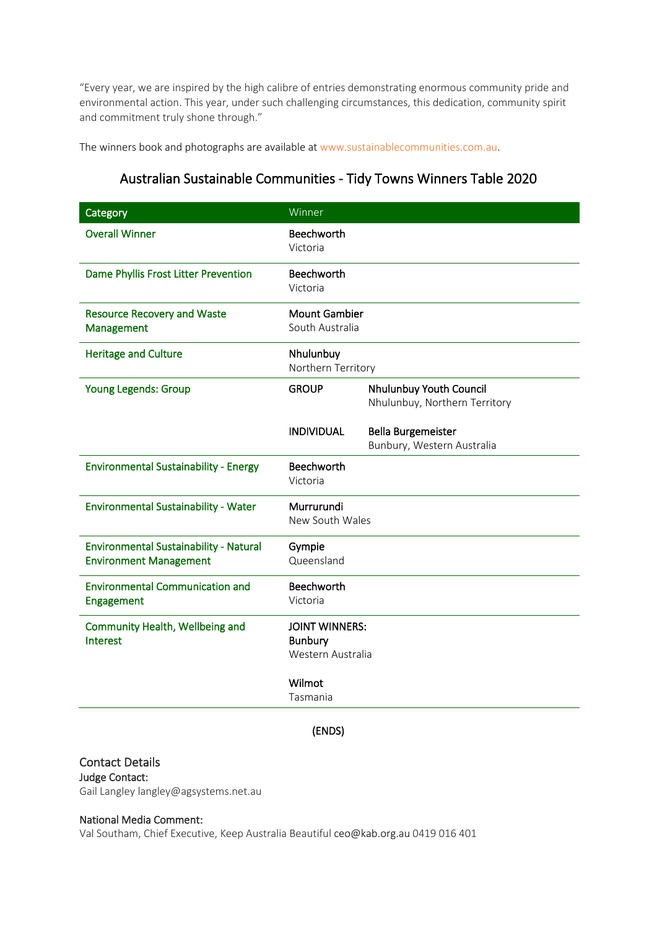"Every year, we are inspired by the high calibre of entries demonstrating enormous community pride and environmental action. This year, under such challenging circumstances, this dedication, community spirit and commitment truly shone through."

The winners book and photographs are available at [www.sustainablecommunities.com.au.](http://www.sustainablecommunities.com.au/)

### Australian Sustainable Communities - Tidy Towns Winners Table 2020

| Category                                                                       | Winner                                                       |                                                          |
|--------------------------------------------------------------------------------|--------------------------------------------------------------|----------------------------------------------------------|
| <b>Overall Winner</b>                                                          | Beechworth<br>Victoria                                       |                                                          |
| Dame Phyllis Frost Litter Prevention                                           | Beechworth<br>Victoria                                       |                                                          |
| <b>Resource Recovery and Waste</b><br>Management                               | <b>Mount Gambier</b><br>South Australia                      |                                                          |
| <b>Heritage and Culture</b>                                                    | Nhulunbuy<br>Northern Territory                              |                                                          |
| Young Legends: Group                                                           | <b>GROUP</b>                                                 | Nhulunbuy Youth Council<br>Nhulunbuy, Northern Territory |
|                                                                                | <b>INDIVIDUAL</b>                                            | <b>Bella Burgemeister</b><br>Bunbury, Western Australia  |
| <b>Environmental Sustainability - Energy</b>                                   | <b>Beechworth</b><br>Victoria                                |                                                          |
| <b>Environmental Sustainability - Water</b>                                    | Murrurundi<br>New South Wales                                |                                                          |
| <b>Environmental Sustainability - Natural</b><br><b>Environment Management</b> | Gympie<br>Queensland                                         |                                                          |
| <b>Environmental Communication and</b><br>Engagement                           | Beechworth<br>Victoria                                       |                                                          |
| Community Health, Wellbeing and<br>Interest                                    | <b>JOINT WINNERS:</b><br><b>Bunbury</b><br>Western Australia |                                                          |
|                                                                                | Wilmot<br>Tasmania                                           |                                                          |

(ENDS)

Contact Details Judge Contact: Gail Langley langley@agsystems.net.au

#### National Media Comment:

Val Southam, Chief Executive, Keep Australia Beautiful ceo@kab.org.au 0419 016 401